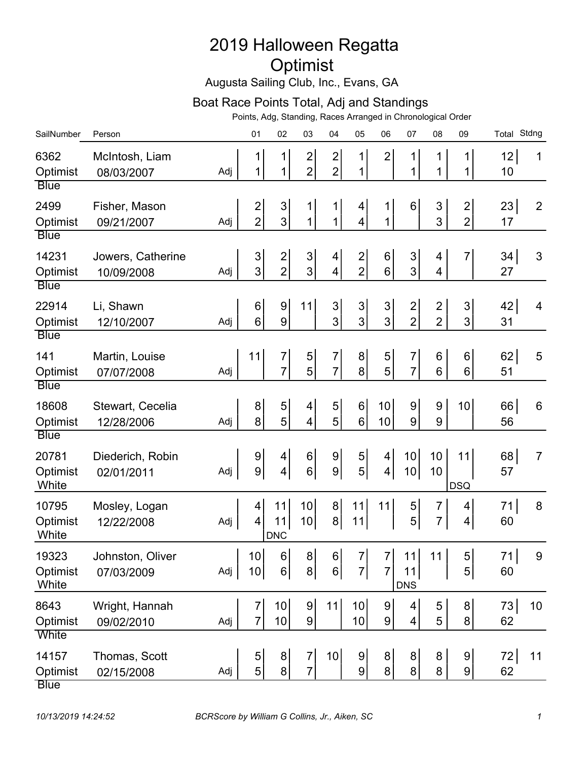## 2019 Halloween Regatta Optimist

Augusta Sailing Club, Inc., Evans, GA

## Boat Race Points Total, Adj and Standings

Points, Adg, Standing, Races Arranged in Chronological Order

| SailNumber                                | Person                          |     | 01                                           | 02                           | 03                                        | 04                                | 05                                          | 06                                 | 07                                        | 08                               | 09                                 | Total Stdng |                |
|-------------------------------------------|---------------------------------|-----|----------------------------------------------|------------------------------|-------------------------------------------|-----------------------------------|---------------------------------------------|------------------------------------|-------------------------------------------|----------------------------------|------------------------------------|-------------|----------------|
| 6362<br>Optimist<br><b>Blue</b>           | McIntosh, Liam<br>08/03/2007    | Adj | 1<br>1                                       | 1<br>1                       | $\overline{\mathbf{c}}$<br>$\overline{2}$ | $\overline{c}$<br>$\overline{2}$  | 1<br>$\mathbf{1}$                           | $\overline{2}$                     | $\mathbf 1$<br>1                          | 1<br>1                           | $\mathbf 1$<br>1                   | 12<br>10    | 1              |
| 2499<br>Optimist<br><b>Blue</b>           | Fisher, Mason<br>09/21/2007     | Adj | 2<br>$\overline{2}$                          | $\mathsf 3$<br>3             | 1<br>1                                    | 1<br>$\mathbf{1}$                 | 4<br>4                                      | $\mathbf{1}$<br>$\mathbf{1}$       | 6                                         | 3<br>3                           | $\overline{c}$<br>$\overline{2}$   | 23<br>17    | $\overline{2}$ |
| 14231<br>Optimist<br><b>Blue</b>          | Jowers, Catherine<br>10/09/2008 | Adj | $\mathsf 3$<br>3                             | $\frac{2}{2}$                | 3<br>3                                    | $\overline{4}$<br>$\vert 4 \vert$ | $\mathbf{2}$<br>$\overline{2}$              | $6 \mid$<br>6                      | 3<br>3                                    | 4<br>4                           | $\overline{7}$                     | 34 <br>27   | 3              |
| 22914<br>Optimist                         | Li, Shawn<br>12/10/2007         | Adj | 6<br>6                                       | 9<br>9                       | 11                                        | $\mathbf{3}$<br>$\overline{3}$    | $\ensuremath{\mathsf{3}}$<br>$\overline{3}$ | $\mathbf{3}$<br>3 <sup>1</sup>     | $\overline{\mathbf{c}}$<br>$\overline{2}$ | $\overline{c}$<br>$\overline{2}$ | 3<br>3                             | 42 <br>31   | 4              |
| <b>Blue</b><br>141<br>Optimist            | Martin, Louise<br>07/07/2008    | Adj | 11                                           | 7<br>7                       | 5<br>5                                    | $\overline{7}$<br>$\overline{7}$  | 8 <sup>1</sup><br>8 <sup>1</sup>            | 5 <sup>1</sup><br>5 <sup>1</sup>   | 7<br>$\overline{7}$                       | 6<br>6                           | 6<br>6                             | 62 <br>51   | 5              |
| <b>Blue</b><br>18608<br>Optimist          | Stewart, Cecelia<br>12/28/2006  | Adj | 8<br>8                                       | 5<br>5                       | 4<br>$\overline{\mathbf{4}}$              | $\sqrt{5}$<br>5 <sup>1</sup>      | $6 \mid$<br>6                               | 10 <sup>1</sup><br>10              | 9<br>9                                    | 9<br>9                           | 10                                 | 66 <br>56   | 6              |
| <b>Blue</b><br>20781<br>Optimist<br>White | Diederich, Robin<br>02/01/2011  | Adj | 9<br>9                                       | 4<br>$\overline{\mathbf{4}}$ | 6<br>$6 \mid$                             | 9 <br> 9                          | $\sqrt{5}$<br>5 <sup>1</sup>                | $\vert 4 \vert$<br>$\vert 4 \vert$ | 10<br>10                                  | 10<br>10                         | 11<br><b>DSQ</b>                   | 68<br>57    | $\overline{7}$ |
| 10795<br>Optimist<br>White                | Mosley, Logan<br>12/22/2008     | Adj | 4<br>4                                       | 11<br>11<br><b>DNC</b>       | 10<br>10                                  | 8 <sup>1</sup><br>8 <sup>1</sup>  | 11<br>11                                    | 11                                 | 5<br>5                                    | 7<br>$\overline{7}$              | $\overline{4}$<br>$\overline{4}$   | 71<br>60    | 8              |
| 19323<br>Optimist<br>White                | Johnston, Oliver<br>07/03/2009  | Adj | $\begin{vmatrix} 10 & 6 \end{vmatrix}$<br>10 | 6                            | 8 <sup>1</sup>                            | 8  6 <br>$6\vert$                 | 7<br>$7\vert$                               | $\overline{7}$                     | $7$ 11<br>11<br><b>DNS</b>                | 11                               | $5\vert$<br>$5\vert$               | 71<br>60    | - 9            |
| 8643<br>Optimist<br>White                 | Wright, Hannah<br>09/02/2010    | Adj | $\overline{7}$<br>$\overline{7}$             | 10 <sup>1</sup><br>10        | $9\,$<br>$\overline{9}$                   | 11                                | 10<br>10                                    | 9<br> 9                            | 4<br>4                                    | 5<br>5                           | $\boldsymbol{8}$<br>$\overline{8}$ | 73<br>62    | 10             |
| 14157<br>Optimist<br><b>Blue</b>          | Thomas, Scott<br>02/15/2008     | Adj | $\sqrt{5}$<br>5                              | $\bf{8}$<br>$\bf{8}$         | $\overline{7}$<br>$\overline{7}$          | 10                                | 9 <br> 9                                    | 8 <sup>1</sup><br>8 <sup>1</sup>   | 8 <sup>1</sup><br>8                       | 8<br>8                           | 9<br>$\overline{9}$                | 72<br>62    | 11             |